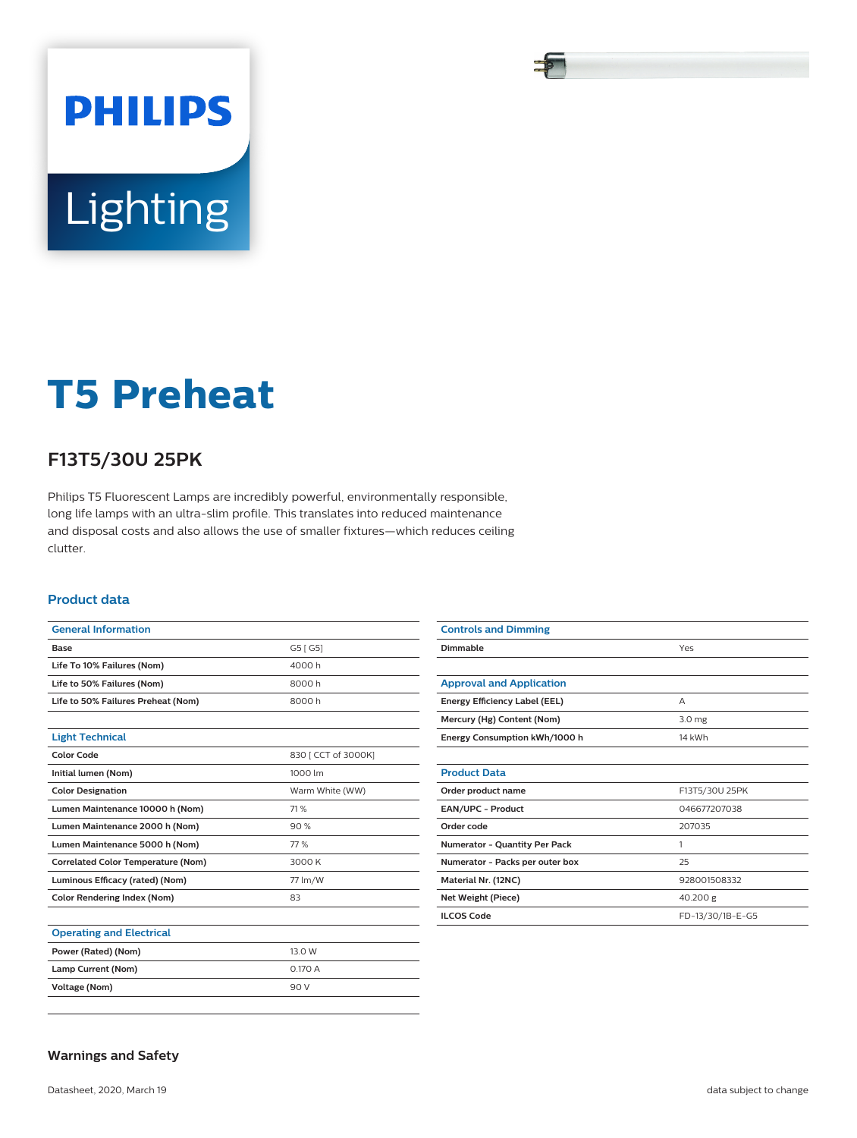# **PHILIPS** Lighting

# **T5 Preheat**

## **F13T5/30U 25PK**

Philips T5 Fluorescent Lamps are incredibly powerful, environmentally responsible, long life lamps with an ultra-slim profile. This translates into reduced maintenance and disposal costs and also allows the use of smaller fixtures—which reduces ceiling clutter.

#### **Product data**

| <b>General Information</b>                |                     |
|-------------------------------------------|---------------------|
| <b>Base</b>                               | G5 [ G5]            |
| Life To 10% Failures (Nom)                | 4000h               |
| Life to 50% Failures (Nom)                | 8000h               |
| Life to 50% Failures Preheat (Nom)        | 8000h               |
|                                           |                     |
| <b>Light Technical</b>                    |                     |
| <b>Color Code</b>                         | 830   CCT of 3000K] |
| Initial lumen (Nom)                       | 1000 lm             |
| <b>Color Designation</b>                  | Warm White (WW)     |
| Lumen Maintenance 10000 h (Nom)           | 71%                 |
| Lumen Maintenance 2000 h (Nom)            | 90%                 |
| Lumen Maintenance 5000 h (Nom)            | 77%                 |
| <b>Correlated Color Temperature (Nom)</b> | 3000 K              |
| Luminous Efficacy (rated) (Nom)           | 77 lm/W             |
| <b>Color Rendering Index (Nom)</b>        | 83                  |
|                                           |                     |
| <b>Operating and Electrical</b>           |                     |
| Power (Rated) (Nom)                       | 13.0 W              |
| Lamp Current (Nom)                        | 0.170 A             |
| <b>Voltage (Nom)</b>                      | 90 V                |

| <b>Controls and Dimming</b>          |                   |
|--------------------------------------|-------------------|
| Dimmable                             | Yes               |
|                                      |                   |
| <b>Approval and Application</b>      |                   |
| Energy Efficiency Label (EEL)        | A                 |
| Mercury (Hg) Content (Nom)           | 3.0 <sub>mg</sub> |
| Energy Consumption kWh/1000 h        | 14 kWh            |
|                                      |                   |
| <b>Product Data</b>                  |                   |
| Order product name                   | F13T5/30U 25PK    |
| EAN/UPC - Product                    | 046677207038      |
| Order code                           | 207035            |
| <b>Numerator - Quantity Per Pack</b> | 1                 |
| Numerator - Packs per outer box      | 25                |
| Material Nr. (12NC)                  | 928001508332      |
| Net Weight (Piece)                   | 40.200 g          |
| <b>ILCOS Code</b>                    | FD-13/30/1B-E-G5  |

#### **Warnings and Safety**